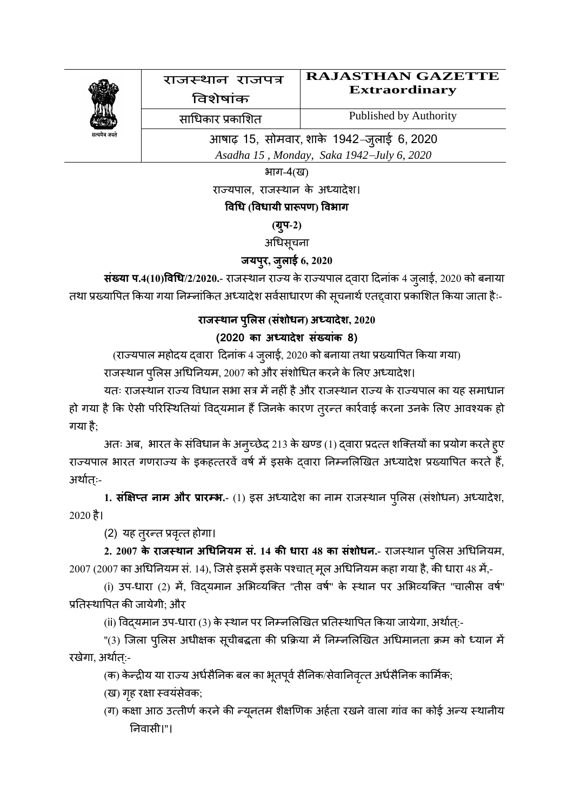

भाग-4(ख)

राज्यपाल, राजस्थान के अध्यादेश।

## **विधि (वििायी प्रारूपण) विभाग**

## **(ग्रपु-2)**

## अधिसूचना

## **जयपरु, जुलाई 6, 2020**

**संख्या प.4(10)विधि/2/2020.- राजस्थान राज्य के राज्यपाल द्वारा दिनांक 4 जुलाई, 2020 को बनाया** तथा प्रख्यापित किया गया निम्नांकित अध्यादेश सर्वसाधारण की सूचनार्थ एतद्द्वारा प्रकाशित किया जाता हैः-

# **राजस्थान पलुलस (संशोिन) अध्यादेश, 2020**

## **(2020 का्अधयादेश्संख्यांक्8)**

(राज्यपाल महोदय द्वारा दिनांक 4 जुलाई, 2020 को बनाया तथा प्रख्यापित किया गया)

राजस्थान पुलिस अधिनियम, 2007 को और संशोधित करने के लिए अध्यादेश।

यतः राजस्थान राज्य विधान सभा सत्र में नहीं है और राजस्थान राज्य के राज्यपाल का यह समाधान हो गया है कि ऐसी परिस्थितियां विद्यमान हैं जिनके कारण तुरन्त कार्रवाई करना उनके लिए आवश्यक हो गया है:

अतः अब, भारत के संविधान के अन्च्छेद 213 के खण्ड (1) द्वारा प्रदत्त शक्तियों का प्रयोग करते हुए राज्यपाल भारत गणराज्य के इकहत्तरवें वर्ष में इसके दवारा निम्नलिखित अध्यादेश प्रख्यापित करते हैं, अर्थातः-

1. **संक्षिप्त नाम और प्रारम्भ.**- (1) इस अध्यादेश का नाम राजस्थान पुलिस (संशोधन) अध्यादेश,  $2020$  है।

(2) यह तुरन्त प्रवृत्त होगा।

**2. 2007 के राजसथान अधिननयम सं. 14 की िारा 48 का संशोिन.-** राजस्थान र ्शुलस ्धिनन रयम,  $2007(2007$  का अधिनियम सं. 14), जिसे इसमें इसके पश्चात् मूल अधिनियम कहा गया है, की धारा 48 में,-

(i) उप-धारा (2) में, विदयमान अभिव्यक्ति "तीस वर्ष" के स्थान पर अभिव्यक्ति "चालीस वर्ष" प्रतिस्थापित की जायेगी; और

(ii) विद्यमान उप-धारा (3) के स्थान पर निम्नलिखित प्रतिस्थापित किया जायेगा, अर्थात्:-

"(3) जिला पुलिस अधीक्षक सूचीबद्धता की प्रक्रिया में निम्नलिखित अधिमानता क्रम को ध्यान में रखेगा, अर्थात:-

(क) केन्द्रीय या राज्य अर्धसैनिक बल का भूतपूर्व सैनिक/सेवानिवृत्त अर्धसैनिक कार्मिक;

(ख) गृह रक्षा स्वयंसेवक;

(ग) कक्षा आठ उत्तीर्ण करने की न्यूनतम शैक्षणिक अर्हता रखने वाला गांव का कोई अन्य स्थानीय नन रवासी।''।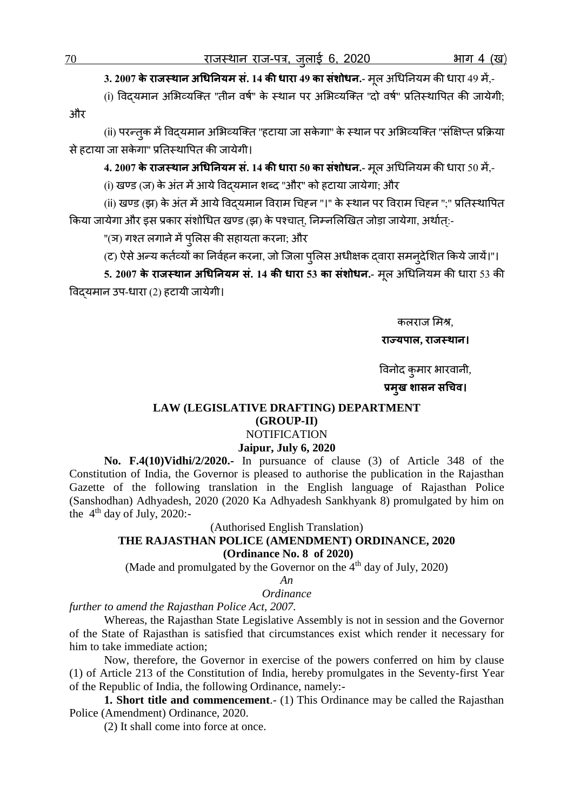**3. 2007 के राजसथान अधिननयम सं. 14 की िारा 49 का संशोिन.-** मलू ्धिनन रयम की िारा 49 में,-

(i) विदयमान अभिव्यक्ति "तीन वर्ष" के स्थान पर अभिव्यक्ति "दो वर्ष" प्रतिस्थापित की जायेगी; और

(ii) परन्तुक में विदयमान अभिव्यक्ति "हटाया जा सकेगा" के स्थान पर अभिव्यक्ति "संक्षिप्त प्रक्रिया से हटाया जा सकेगा" प्रतिस्थापित की जायेगी।

**4. 2007 के राजसथान अधिननयम सं. 14 की िारा 50 का संशोिन.-** मलू ्धिनन रयम की िारा 50 में,-

(i) खण्ड (ज) के अंत में आये विदयमान शब्द "और" को हटाया जायेगा; और

(ii) खण्ड (झ) के अंत में आये विद्**यमान विराम चिहन "।" के स्थान पर विराम** चिहन ";" प्रतिस्थापित किया जायेगा और इस प्रकार संशोधित खण्ड (झ) के पश्चात, निम्नलिखित जोड़ा जायेगा, अर्थात:-

''(ञ) गश्त लगाने में पुलिस की सहायता करना; और

(ट) ऐसे अन्य कर्तव्यों का निर्वहन करना, जो जिला पुलिस अधीक्षक दवारा समन्देशित किये जायें।"।

**5. 2007 के राजसथान अधिननयम सं. 14 की िारा 53 का संशोिन.-** मलू ्धिनन रयम की िारा 53 की विदयमान उप-धारा (2) हटायी जायेगी।

कलराज शमश्र,

#### **राज्यपाल, राजसथान।**

विनोद कुमार भारवानी,

## **प्रमखु शासन सधिि।**

### **LAW (LEGISLATIVE DRAFTING) DEPARTMENT (GROUP-II) NOTIFICATION**

#### **Jaipur, July 6, 2020**

 **No. F.4(10)Vidhi/2/2020.-** In pursuance of clause (3) of Article 348 of the Constitution of India, the Governor is pleased to authorise the publication in the Rajasthan Gazette of the following translation in the English language of Rajasthan Police (Sanshodhan) Adhyadesh, 2020 (2020 Ka Adhyadesh Sankhyank 8) promulgated by him on the  $4<sup>th</sup>$  day of July, 2020:-

(Authorised English Translation)

**THE RAJASTHAN POLICE (AMENDMENT) ORDINANCE, 2020 (Ordinance No. 8 of 2020)**

(Made and promulgated by the Governor on the  $4<sup>th</sup>$  day of July, 2020)

*An*

*Ordinance*

*further to amend the Rajasthan Police Act, 2007.*

Whereas, the Rajasthan State Legislative Assembly is not in session and the Governor of the State of Rajasthan is satisfied that circumstances exist which render it necessary for him to take immediate action;

Now, therefore, the Governor in exercise of the powers conferred on him by clause (1) of Article 213 of the Constitution of India, hereby promulgates in the Seventy-first Year of the Republic of India, the following Ordinance, namely:-

**1. Short title and commencement**.- (1) This Ordinance may be called the Rajasthan Police (Amendment) Ordinance, 2020.

(2) It shall come into force at once.